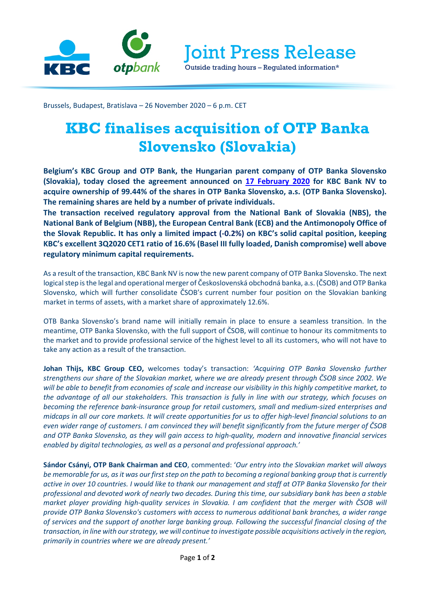

Joint Press Release

Outside trading hours – Regulated information\*

Brussels, Budapest, Bratislava – 26 November 2020 – 6 p.m. CET

# **KBC finalises acquisition of OTP Banka Slovensko (Slovakia)**

**Belgium's KBC Group and OTP Bank, the Hungarian parent company of OTP Banka Slovensko (Slovakia), today closed the agreement announced on [17 February 2020](https://www.kbc.com/content/dam/kbccom/doc/newsroom/pressreleases/2020/20200217_OTP-Banka-Slovensko_en.pdf) for KBC Bank NV to acquire ownership of 99.44% of the shares in OTP Banka Slovensko, a.s. (OTP Banka Slovensko). The remaining shares are held by a number of private individuals.**

**The transaction received regulatory approval from the National Bank of Slovakia (NBS), the National Bank of Belgium (NBB), the European Central Bank (ECB) and the Antimonopoly Office of the Slovak Republic. It has only a limited impact (-0.2%) on KBC's solid capital position, keeping KBC's excellent 3Q2020 CET1 ratio of 16.6% (Basel III fully loaded, Danish compromise) well above regulatory minimum capital requirements.**

As a result of the transaction, KBC Bank NV is now the new parent company of OTP Banka Slovensko. The next logical step is the legal and operational merger of Československá obchodná banka, a.s. (ČSOB) and OTP Banka Slovensko, which will further consolidate ČSOB's current number four position on the Slovakian banking market in terms of assets, with a market share of approximately 12.6%.

OTB Banka Slovensko's brand name will initially remain in place to ensure a seamless transition. In the meantime, OTP Banka Slovensko, with the full support of ČSOB, will continue to honour its commitments to the market and to provide professional service of the highest level to all its customers, who will not have to take any action as a result of the transaction.

**Johan Thijs, KBC Group CEO,** welcomes today's transaction: *'Acquiring OTP Banka Slovensko further strengthens our share of the Slovakian market, where we are already present through ČSOB since 2002. We will be able to benefit from economies of scale and increase our visibility in this highly competitive market, to the advantage of all our stakeholders. This transaction is fully in line with our strategy, which focuses on becoming the reference bank-insurance group for retail customers, small and medium-sized enterprises and midcaps in all our core markets. It will create opportunities for us to offer high-level financial solutions to an even wider range of customers. I am convinced they will benefit significantly from the future merger of ČSOB and OTP Banka Slovensko, as they will gain access to high-quality, modern and innovative financial services enabled by digital technologies, as well as a personal and professional approach.'*

**Sándor Csányi, OTP Bank Chairman and CEO**, commented: '*Our entry into the Slovakian market will always be memorable for us, as it was our first step on the path to becoming a regional banking group that is currently active in over 10 countries. I would like to thank our management and staff at OTP Banka Slovensko for their professional and devoted work of nearly two decades. During this time, our subsidiary bank has been a stable market player providing high-quality services in Slovakia. I am confident that the merger with ČSOB will provide OTP Banka Slovensko's customers with access to numerous additional bank branches, a wider range of services and the support of another large banking group. Following the successful financial closing of the transaction, in line with our strategy, we will continue to investigate possible acquisitions actively in the region, primarily in countries where we are already present.'*